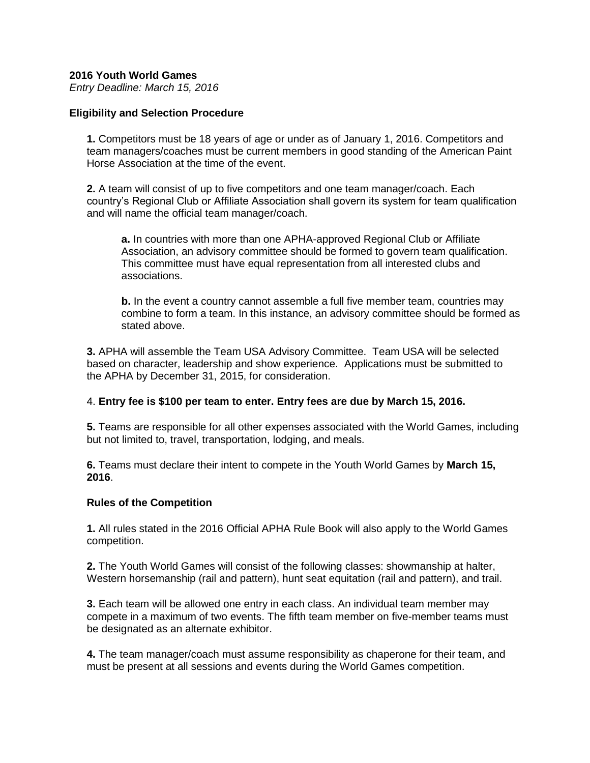### **2016 Youth World Games**

*Entry Deadline: March 15, 2016*

### **Eligibility and Selection Procedure**

**1.** Competitors must be 18 years of age or under as of January 1, 2016. Competitors and team managers/coaches must be current members in good standing of the American Paint Horse Association at the time of the event.

**2.** A team will consist of up to five competitors and one team manager/coach. Each country's Regional Club or Affiliate Association shall govern its system for team qualification and will name the official team manager/coach.

**a.** In countries with more than one APHA-approved Regional Club or Affiliate Association, an advisory committee should be formed to govern team qualification. This committee must have equal representation from all interested clubs and associations.

**b.** In the event a country cannot assemble a full five member team, countries may combine to form a team. In this instance, an advisory committee should be formed as stated above.

**3.** APHA will assemble the Team USA Advisory Committee. Team USA will be selected based on character, leadership and show experience. Applications must be submitted to the APHA by December 31, 2015, for consideration.

### 4. **Entry fee is \$100 per team to enter. Entry fees are due by March 15, 2016.**

**5.** Teams are responsible for all other expenses associated with the World Games, including but not limited to, travel, transportation, lodging, and meals.

**6.** Teams must declare their intent to compete in the Youth World Games by **March 15, 2016**.

### **Rules of the Competition**

**1.** All rules stated in the 2016 Official APHA Rule Book will also apply to the World Games competition.

**2.** The Youth World Games will consist of the following classes: showmanship at halter, Western horsemanship (rail and pattern), hunt seat equitation (rail and pattern), and trail.

**3.** Each team will be allowed one entry in each class. An individual team member may compete in a maximum of two events. The fifth team member on five-member teams must be designated as an alternate exhibitor.

**4.** The team manager/coach must assume responsibility as chaperone for their team, and must be present at all sessions and events during the World Games competition.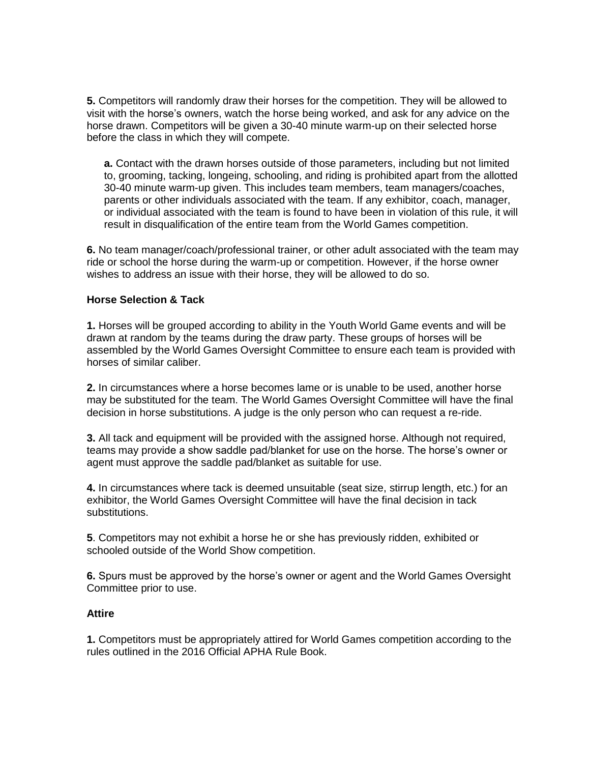**5.** Competitors will randomly draw their horses for the competition. They will be allowed to visit with the horse's owners, watch the horse being worked, and ask for any advice on the horse drawn. Competitors will be given a 30-40 minute warm-up on their selected horse before the class in which they will compete.

**a.** Contact with the drawn horses outside of those parameters, including but not limited to, grooming, tacking, longeing, schooling, and riding is prohibited apart from the allotted 30-40 minute warm-up given. This includes team members, team managers/coaches, parents or other individuals associated with the team. If any exhibitor, coach, manager, or individual associated with the team is found to have been in violation of this rule, it will result in disqualification of the entire team from the World Games competition.

**6.** No team manager/coach/professional trainer, or other adult associated with the team may ride or school the horse during the warm-up or competition. However, if the horse owner wishes to address an issue with their horse, they will be allowed to do so.

### **Horse Selection & Tack**

**1.** Horses will be grouped according to ability in the Youth World Game events and will be drawn at random by the teams during the draw party. These groups of horses will be assembled by the World Games Oversight Committee to ensure each team is provided with horses of similar caliber.

**2.** In circumstances where a horse becomes lame or is unable to be used, another horse may be substituted for the team. The World Games Oversight Committee will have the final decision in horse substitutions. A judge is the only person who can request a re-ride.

**3.** All tack and equipment will be provided with the assigned horse. Although not required, teams may provide a show saddle pad/blanket for use on the horse. The horse's owner or agent must approve the saddle pad/blanket as suitable for use.

**4.** In circumstances where tack is deemed unsuitable (seat size, stirrup length, etc.) for an exhibitor, the World Games Oversight Committee will have the final decision in tack substitutions.

**5**. Competitors may not exhibit a horse he or she has previously ridden, exhibited or schooled outside of the World Show competition.

**6.** Spurs must be approved by the horse's owner or agent and the World Games Oversight Committee prior to use.

### **Attire**

**1.** Competitors must be appropriately attired for World Games competition according to the rules outlined in the 2016 Official APHA Rule Book.